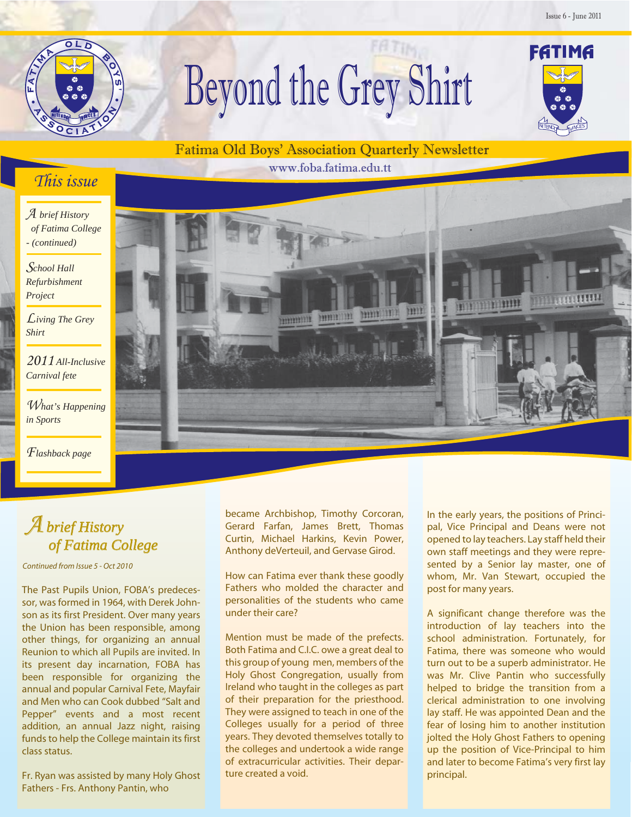NITENDOR NUNCES

FATIMA



# Beyond the Grey Shirt

### Fatima Old Boys' Association Quarterly Newsletter

www.foba.fatima.edu.tt

## This issue

A *brief History of Fatima College - (continued)*

S*chool Hall Refurbishment Project*

L *iving The Grey Shirt*

2011 *All-Inclusive Carnival fete*

What's Happening *in Sports*

F *lashback page*



## $\overline{\mathcal{A}}$ *brief History of Fatima College*

*Continued from Issue 5 - Oct 2010*

The Past Pupils Union, FOBA's predecessor, was formed in 1964, with Derek Johnson as its first President. Over many years the Union has been responsible, among other things, for organizing an annual Reunion to which all Pupils are invited. In its present day incarnation, FOBA has been responsible for organizing the annual and popular Carnival Fete, Mayfair and Men who can Cook dubbed "Salt and Pepper" events and a most recent addition, an annual Jazz night, raising funds to help the College maintain its first class status.

Fr. Ryan was assisted by many Holy Ghost Fathers - Frs. Anthony Pantin, who

became Archbishop, Timothy Corcoran, Gerard Farfan, James Brett, Thomas Curtin, Michael Harkins, Kevin Power, Anthony deVerteuil, and Gervase Girod.

How can Fatima ever thank these goodly Fathers who molded the character and personalities of the students who came under their care?

Mention must be made of the prefects. Both Fatima and C.I.C. owe a great deal to this group of young men, members of the Holy Ghost Congregation, usually from Ireland who taught in the colleges as part of their preparation for the priesthood. They were assigned to teach in one of the Colleges usually for a period of three years. They devoted themselves totally to the colleges and undertook a wide range of extracurricular activities. Their departure created a void.

In the early years, the positions of Principal, Vice Principal and Deans were not opened to lay teachers. Lay staff held their own staff meetings and they were represented by a Senior lay master, one of whom, Mr. Van Stewart, occupied the post for many years.

A significant change therefore was the introduction of lay teachers into the school administration. Fortunately, for Fatima, there was someone who would turn out to be a superb administrator. He was Mr. Clive Pantin who successfully helped to bridge the transition from a clerical administration to one involving lay staff. He was appointed Dean and the fear of losing him to another institution jolted the Holy Ghost Fathers to opening up the position of Vice-Principal to him and later to become Fatima's very first lay principal.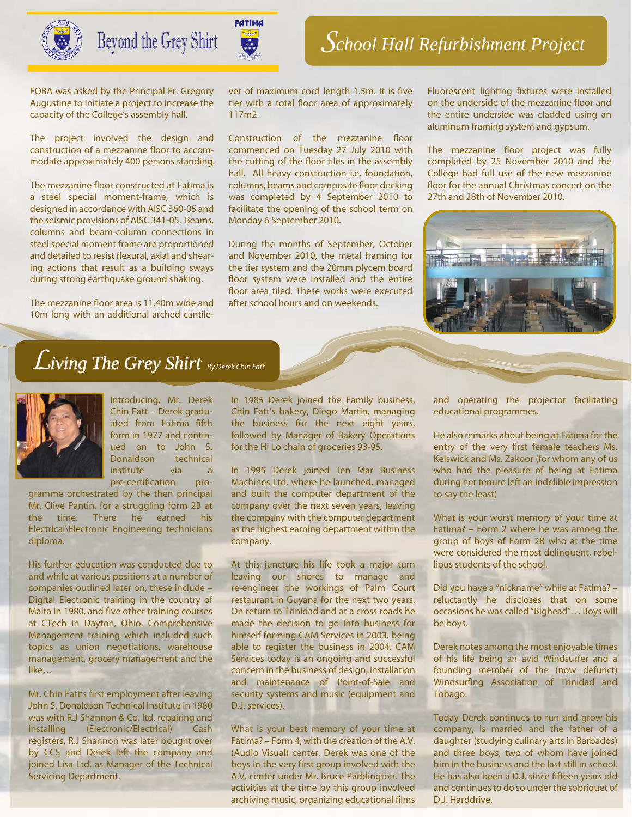

Beyond the Grey Shirt

FOBA was asked by the Principal Fr. Gregory Augustine to initiate a project to increase the capacity of the College's assembly hall.

The project involved the design and construction of a mezzanine floor to accommodate approximately 400 persons standing.

The mezzanine floor constructed at Fatima is a steel special moment-frame, which is designed in accordance with AISC 360-05 and the seismic provisions of AISC 341-05. Beams, columns and beam-column connections in steel special moment frame are proportioned and detailed to resist flexural, axial and shearing actions that result as a building sways during strong earthquake ground shaking.

The mezzanine floor area is 11.40m wide and 10m long with an additional arched cantilever of maximum cord length 1.5m. It is five tier with a total floor area of approximately 117m2.

Construction of the mezzanine floor commenced on Tuesday 27 July 2010 with the cutting of the floor tiles in the assembly hall. All heavy construction i.e. foundation, columns, beams and composite floor decking was completed by 4 September 2010 to facilitate the opening of the school term on Monday 6 September 2010.

During the months of September, October and November 2010, the metal framing for the tier system and the 20mm plycem board floor system were installed and the entire floor area tiled. These works were executed after school hours and on weekends.

Fluorescent lighting fixtures were installed on the underside of the mezzanine floor and the entire underside was cladded using an aluminum framing system and gypsum.

The mezzanine floor project was fully completed by 25 November 2010 and the College had full use of the new mezzanine floor for the annual Christmas concert on the 27th and 28th of November 2010.



## L*iving The Grey Shirt By Derek Chin Fatt*



Introducing, Mr. Derek Chin Fatt – Derek graduated from Fatima fifth form in 1977 and continued on to John S. Donaldson technical institute via a pre-certification pro-

gramme orchestrated by the then principal Mr. Clive Pantin, for a struggling form 2B at the time. There he earned his Electrical\Electronic Engineering technicians diploma.

His further education was conducted due to and while at various positions at a number of companies outlined later on, these include – Digital Electronic training in the country of Malta in 1980, and five other training courses at CTech in Dayton, Ohio. Comprehensive Management training which included such topics as union negotiations, warehouse management, grocery management and the like…

Mr. Chin Fatt's first employment after leaving John S. Donaldson Technical Institute in 1980 was with R.J Shannon & Co. ltd. repairing and installing (Electronic/Electrical) Cash registers, R.J Shannon was later bought over by CCS and Derek left the company and joined Lisa Ltd. as Manager of the Technical Servicing Department.

In 1985 Derek joined the Family business, Chin Fatt's bakery, Diego Martin, managing the business for the next eight years, followed by Manager of Bakery Operations for the Hi Lo chain of groceries 93-95.

In 1995 Derek joined Jen Mar Business Machines Ltd. where he launched, managed and built the computer department of the company over the next seven years, leaving the company with the computer department as the highest earning department within the company.

At this juncture his life took a major turn leaving our shores to manage and re-engineer the workings of Palm Court restaurant in Guyana for the next two years. On return to Trinidad and at a cross roads he made the decision to go into business for himself forming CAM Services in 2003, being able to register the business in 2004. CAM Services today is an ongoing and successful concern in the business of design, installation and maintenance of Point-of-Sale and security systems and music (equipment and D.J. services).

What is your best memory of your time at Fatima? – Form 4, with the creation of the A.V. (Audio Visual) center. Derek was one of the boys in the very first group involved with the A.V. center under Mr. Bruce Paddington. The activities at the time by this group involved archiving music, organizing educational films and operating the projector facilitating educational programmes.

He also remarks about being at Fatima for the entry of the very first female teachers Ms. Kelswick and Ms. Zakoor (for whom any of us who had the pleasure of being at Fatima during her tenure left an indelible impression to say the least)

What is your worst memory of your time at Fatima? – Form 2 where he was among the group of boys of Form 2B who at the time were considered the most delinquent, rebellious students of the school.

Did you have a "nickname" while at Fatima? – reluctantly he discloses that on some occasions he was called "Bighead"… Boys will be boys.

Derek notes among the most enjoyable times of his life being an avid Windsurfer and a founding member of the (now defunct) Windsurfing Association of Trinidad and Tobago.

Today Derek continues to run and grow his company, is married and the father of a daughter (studying culinary arts in Barbados) and three boys, two of whom have joined him in the business and the last still in school. He has also been a D.J. since fifteen years old and continues to do so under the sobriquet of D.J. Harddrive.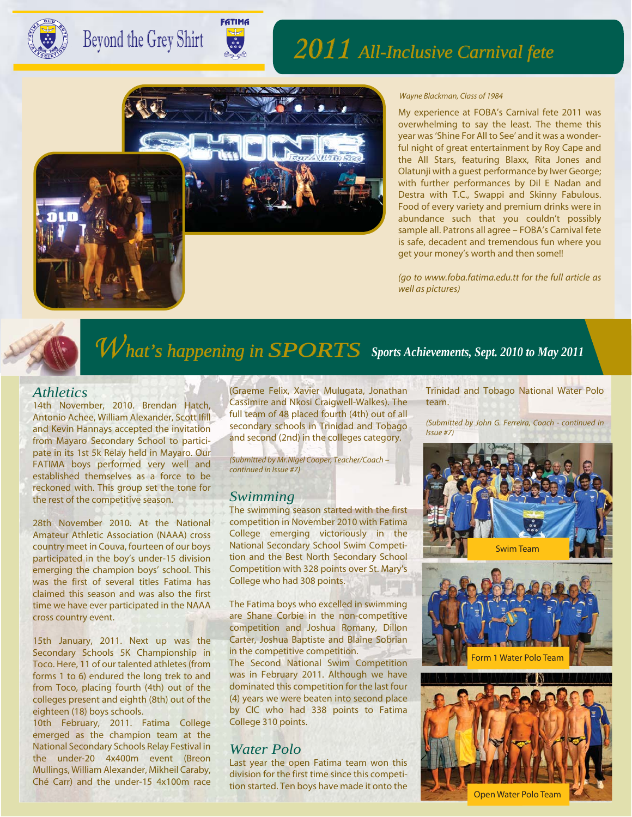

# Beyond the Grey Shirt

# 2011*All-Inclusive Carnival fete*



NITE SOUND NEWSLES

**FATIMA** 

#### *Wayne Blackman, Class of 1984*

My experience at FOBA's Carnival fete 2011 was overwhelming to say the least. The theme this year was 'Shine For All to See' and it was a wonderful night of great entertainment by Roy Cape and the All Stars, featuring Blaxx, Rita Jones and Olatunji with a guest performance by Iwer George; with further performances by Dil E Nadan and Destra with T.C., Swappi and Skinny Fabulous. Food of every variety and premium drinks were in abundance such that you couldn't possibly sample all. Patrons all agree – FOBA's Carnival fete is safe, decadent and tremendous fun where you get your money's worth and then some!!

*(go to www.foba.fatima.edu.tt for the full article as well as pictures)*



# What's happening in **SPORTS** Sports Achievements, Sept. 2010 to May 2011

#### *Athletics*

14th November, 2010. Brendan Hatch, Antonio Achee, William Alexander, Scott Ifill and Kevin Hannays accepted the invitation from Mayaro Secondary School to participate in its 1st 5k Relay held in Mayaro. Our FATIMA boys performed very well and established themselves as a force to be reckoned with. This group set the tone for the rest of the competitive season.

28th November 2010. At the National Amateur Athletic Association (NAAA) cross country meet in Couva, fourteen of our boys participated in the boy's under-15 division emerging the champion boys' school. This was the first of several titles Fatima has claimed this season and was also the first time we have ever participated in the NAAA cross country event.

15th January, 2011. Next up was the Secondary Schools 5K Championship in Toco. Here, 11 of our talented athletes (from forms 1 to 6) endured the long trek to and from Toco, placing fourth (4th) out of the colleges present and eighth (8th) out of the eighteen (18) boys schools.

10th February, 2011. Fatima College emerged as the champion team at the National Secondary Schools Relay Festival in the under-20 4x400m event (Breon Mullings, William Alexander, Mikheil Caraby, Ché Carr) and the under-15 4x100m race

(Graeme Felix, Xavier Mulugata, Jonathan Cassimire and Nkosi Craigwell-Walkes). The full team of 48 placed fourth (4th) out of all secondary schools in Trinidad and Tobago and second (2nd) in the colleges category.

*(Submitted by Mr.Nigel Cooper, Teacher/Coach – continued in Issue #7)*

#### *Swimming*

The swimming season started with the first competition in November 2010 with Fatima College emerging victoriously in the National Secondary School Swim Competition and the Best North Secondary School Competition with 328 points over St. Mary's College who had 308 points.

The Fatima boys who excelled in swimming are Shane Corbie in the non-competitive competition and Joshua Romany, Dillon Carter, Joshua Baptiste and Blaine Sobrian in the competitive competition.

The Second National Swim Competition was in February 2011. Although we have dominated this competition for the last four (4) years we were beaten into second place by CIC who had 338 points to Fatima College 310 points.

#### *Water Polo*

Last year the open Fatima team won this division for the first time since this competition started. Ten boys have made it onto the Trinidad and Tobago National Water Polo team.

*(Submitted by John G. Ferreira, Coach - continued in Issue #7)*